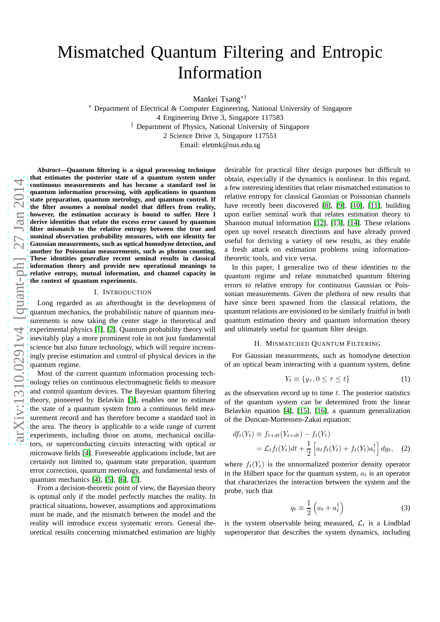# Mismatched Quantum Filtering and Entropic Information

Mankei Tsang∗†

<sup>∗</sup> Department of Electrical & Computer Engineering, National University of Singapore 4 Engineering Drive 3, Singapore 117583 † Department of Physics, National University of Singapore 2 Science Drive 3, Singapore 117551 Email: eletmk@nus.edu.sg

*Abstract***—Quantum filtering is a signal processing technique that estimates the posterior state of a quantum system under continuous measurements and has become a standard tool in quantum information processing, with applications in quantum state preparation, quantum metrology, and quantum control. If the filter assumes a nominal model that differs from reality, however, the estimation accuracy is bound to suffer. Here I derive identities that relate the excess error caused by quantum filter mismatch to the relative entropy between the true and nominal observation probability measures, with one identity for Gaussian measurements, such as optical homodyne detection, and another for Poissonian measurements, such as photon counting. These identities generalize recent seminal results in classical information theory and provide new operational meanings to relative entropy, mutual information, and channel capacity in the context of quantum experiments.**

### I. INTRODUCTION

Long regarded as an afterthought in the development of quantum mechanics, the probabilistic nature of quantum measurements is now taking the center stage in theoretical and experimental physics [\[1\]](#page-4-0), [\[2\]](#page-4-1). Quantum probability theory will inevitably play a more prominent role in not just fundamental science but also future technology, which will require increasingly precise estimation and control of physical devices in the quantum regime.

Most of the current quantum information processing technology relies on continuous electromagnetic fields to measure and control quantum devices. The Bayesian quantum filtering theory, pioneered by Belavkin [\[3\]](#page-4-2), enables one to estimate the state of a quantum system from a continuous field measurement record and has therefore become a standard tool in the area. The theory is applicable to a wide range of current experiments, including those on atoms, mechanical oscillators, or superconducting circuits interacting with optical or microwave fields [\[4\]](#page-4-3). Foreseeable applications include, but are certainly not limited to, quantum state preparation, quantum error correction, quantum metrology, and fundamental tests of quantum mechanics [\[4\]](#page-4-3), [\[5\]](#page-4-4), [\[6\]](#page-4-5), [\[7\]](#page-4-6).

From a decision-theoretic point of view, the Bayesian theory is optimal only if the model perfectly matches the reality. In practical situations, however, assumptions and approximations must be made, and the mismatch between the model and the reality will introduce excess systematic errors. General theoretical results concerning mismatched estimation are highly

desirable for practical filter design purposes but difficult to obtain, especially if the dynamics is nonlinear. In this regard, a few interesting identities that relate mismatched estimation to relative entropy for classical Gaussian or Poissonian channels have recently been discovered [\[8\]](#page-4-7), [\[9\]](#page-4-8), [\[10\]](#page-4-9), [\[11\]](#page-4-10), building upon earlier seminal work that relates estimation theory to Shannon mutual information [\[12\]](#page-4-11), [\[13\]](#page-4-12), [\[14\]](#page-4-13). These relations open up novel research directions and have already proved useful for deriving a variety of new results, as they enable a fresh attack on estimation problems using informationtheoretic tools, and vice versa.

In this paper, I generalize two of these identities to the quantum regime and relate mismatched quantum filtering errors to relative entropy for continuous Gaussian or Poissonian measurements. Given the plethora of new results that have since been spawned from the classical relations, the quantum relations are envisioned to be similarly fruitful in both quantum estimation theory and quantum information theory and ultimately useful for quantum filter design.

## II. MISMATCHED QUANTUM FILTERING

For Gaussian measurements, such as homodyne detection of an optical beam interacting with a quantum system, define

$$
Y_t \equiv \{y_\tau, 0 \le \tau \le t\} \tag{1}
$$

as the observation record up to time  $t$ . The posterior statistics of the quantum system can be determined from the linear Belavkin equation [\[4\]](#page-4-3), [\[15\]](#page-4-14), [\[16\]](#page-4-15), a quantum generalization of the Duncan-Mortensen-Zakai equation:

$$
df_t(Y_t) \equiv f_{t+dt}(Y_{t+dt}) - f_t(Y_t)
$$
  
=  $\mathcal{L}_t f_t(Y_t) dt + \frac{1}{2} \left[ a_t f_t(Y_t) + f_t(Y_t) a_t^{\dagger} \right] dy_t,$  (2)

where  $f_t(Y_t)$  is the unnormalized posterior density operator in the Hilbert space for the quantum system,  $a_t$  is an operator that characterizes the interaction between the system and the probe, such that

<span id="page-0-0"></span>
$$
q_t \equiv \frac{1}{2} \left( a_t + a_t^{\dagger} \right) \tag{3}
$$

is the system observable being measured,  $\mathcal{L}_t$  is a Lindblad superoperator that describes the system dynamics, including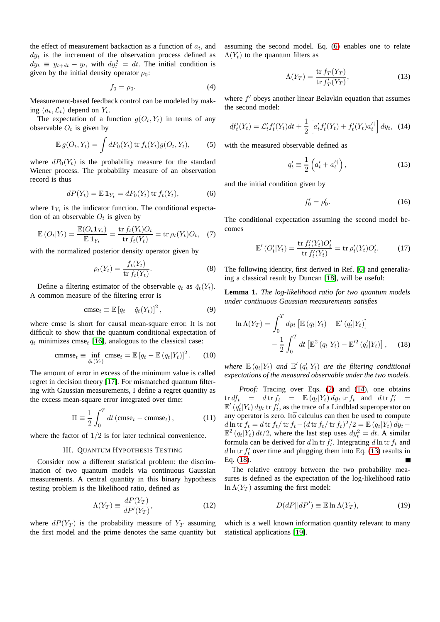the effect of measurement backaction as a function of  $a_t$ , and  $dy_t$  is the increment of the observation process defined as  $dy_t \equiv y_{t+dt} - y_t$ , with  $dy_t^2 = dt$ . The initial condition is given by the initial density operator  $\rho_0$ :

$$
f_0 = \rho_0. \tag{4}
$$

Measurement-based feedback control can be modeled by making  $(a_t, \mathcal{L}_t)$  depend on  $Y_t$ .

The expectation of a function  $g(O_t, Y_t)$  in terms of any observable  $O_t$  is given by

$$
\mathbb{E}\,g(O_t,Y_t) = \int dP_0(Y_t)\,\text{tr}\,f_t(Y_t)g(O_t,Y_t),\tag{5}
$$

where  $dP_0(Y_t)$  is the probability measure for the standard Wiener process. The probability measure of an observation record is thus

$$
dP(Y_t) = \mathbb{E} \mathbf{1}_{Y_t} = dP_0(Y_t) \operatorname{tr} f_t(Y_t), \tag{6}
$$

where  $\mathbf{1}_{Y_t}$  is the indicator function. The conditional expectation of an observable  $O_t$  is given by

$$
\mathbb{E}\left(O_t|Y_t\right) = \frac{\mathbb{E}(O_t \mathbf{1}_{Y_t})}{\mathbb{E} \mathbf{1}_{Y_t}} = \frac{\text{tr } f_t(Y_t) O_t}{\text{tr } f_t(Y_t)} = \text{tr } \rho_t(Y_t) O_t, \quad (7)
$$

with the normalized posterior density operator given by

$$
\rho_t(Y_t) = \frac{f_t(Y_t)}{\operatorname{tr} f_t(Y_t)}.\tag{8}
$$

Define a filtering estimator of the observable  $q_t$  as  $\check{q}_t(Y_t)$ . A common measure of the filtering error is

$$
\text{cmse}_t \equiv \mathbb{E}\left[q_t - \check{q}_t(Y_t)\right]^2,\tag{9}
$$

where cmse is short for causal mean-square error. It is not difficult to show that the quantum conditional expectation of  $q_t$  minimizes cmse<sub>t</sub> [\[16\]](#page-4-15), analogous to the classical case:

$$
\text{cmmse}_{t} \equiv \inf_{\check{q}_t(Y_t)} \text{cmse}_{t} = \mathbb{E}\left[q_t - \mathbb{E}\left(q_t|Y_t\right)\right]^2. \tag{10}
$$

The amount of error in excess of the minimum value is called regret in decision theory [\[17\]](#page-4-16). For mismatched quantum filtering with Gaussian measurements, I define a regret quantity as the excess mean-square error integrated over time:

$$
\Pi \equiv \frac{1}{2} \int_0^T dt \left( \text{cmse}_t - \text{cmmse}_t \right), \tag{11}
$$

where the factor of  $1/2$  is for later technical convenience.

## III. QUANTUM HYPOTHESIS TESTING

Consider now a different statistical problem: the discrimination of two quantum models via continuous Gaussian measurements. A central quantity in this binary hypothesis testing problem is the likelihood ratio, defined as

$$
\Lambda(Y_T) \equiv \frac{dP(Y_T)}{dP'(Y_T)},\tag{12}
$$

where  $dP(Y_T)$  is the probability measure of  $Y_T$  assuming the first model and the prime denotes the same quantity but assuming the second model. Eq. [\(6\)](#page-1-0) enables one to relate  $\Lambda(Y_t)$  to the quantum filters as

<span id="page-1-2"></span>
$$
\Lambda(Y_T) = \frac{\text{tr}\, f_T(Y_T)}{\text{tr}\, f'_T(Y_T)},\tag{13}
$$

where  $f'$  obeys another linear Belavkin equation that assumes the second model:

$$
df'_{t}(Y_{t}) = \mathcal{L}'_{t}f'_{t}(Y_{t})dt + \frac{1}{2}\left[a'_{t}f'_{t}(Y_{t}) + f'_{t}(Y_{t})a'^{\dagger}_{t}\right]dy_{t}, \tag{14}
$$

with the measured observable defined as

<span id="page-1-1"></span>
$$
q_t' \equiv \frac{1}{2} \left( a_t' + a_t'^\dagger \right),\tag{15}
$$

<span id="page-1-0"></span>and the initial condition given by

$$
f_0' = \rho_0'.\tag{16}
$$

The conditional expectation assuming the second model becomes

$$
\mathbb{E}'(O_t'|Y_t) = \frac{\text{tr } f_t'(Y_t)O_t'}{\text{tr } f_t'(Y_t)} = \text{tr } \rho_t'(Y_t)O_t'.\tag{17}
$$

<span id="page-1-4"></span>The following identity, first derived in Ref. [\[6\]](#page-4-5) and generalizing a classical result by Duncan [\[18\]](#page-4-17), will be useful:

**Lemma 1.** *The log-likelihood ratio for two quantum models under continuous Gaussian measurements satisfies*

<span id="page-1-3"></span>
$$
\ln \Lambda(Y_T) = \int_0^T dy_t \left[ \mathbb{E} \left( q_t | Y_t \right) - \mathbb{E}' \left( q'_t | Y_t \right) \right] - \frac{1}{2} \int_0^T dt \left[ \mathbb{E}^2 \left( q_t | Y_t \right) - \mathbb{E}'^2 \left( q'_t | Y_t \right) \right], \quad (18)
$$

where  $\mathbb{E}\left(q_t|Y_t\right)$  and  $\mathbb{E}'\left(q'_t|Y_t\right)$  are the filtering conditional *expectations of the measured observable under the two models.*

<span id="page-1-6"></span>*Proof:* Tracing over Eqs. [\(2\)](#page-0-0) and [\(14\)](#page-1-1), one obtains  $\mathrm{tr} \, df_t = d \, \mathrm{tr} \, f_t = \mathbb{E} \, (q_t|Y_t) \, dy_t \, \mathrm{tr} \, f_t \quad \text{and} \quad d \, \mathrm{tr} \, f'_t =$  $\mathbb{E}'$   $\left( q_t'|Y_t \right) dy_t$  tr  $f_t'$ , as the trace of a Lindblad superoperator on any operator is zero. Itō calculus can then be used to compute  $d \ln \mathrm{tr} f_t = d \,\mathrm{tr} \, f_t/\,\mathrm{tr} \, f_t - (d \,\mathrm{tr} \, f_t/\,\mathrm{tr} \, f_t)^2/2 = \mathbb{E} \, (q_t|Y_t) \, dy_t \mathbb{E}^{2}(q_{t}|Y_{t}) dt/2$ , where the last step uses  $dy_{t}^{2} = dt$ . A similar formula can be derived for  $d \ln \operatorname{tr} f_t'$ . Integrating  $d \ln \operatorname{tr} f_t$  and  $d \ln \operatorname{tr} f'_t$  over time and plugging them into Eq. [\(13\)](#page-1-2) results in Eq. [\(18\)](#page-1-3).

The relative entropy between the two probability measures is defined as the expectation of the log-likelihood ratio ln  $\Lambda(Y_T)$  assuming the first model:

<span id="page-1-5"></span>
$$
D(dP||dP') \equiv \mathbb{E} \ln \Lambda(Y_T), \qquad (19)
$$

which is a well known information quantity relevant to many statistical applications [\[19\]](#page-4-18).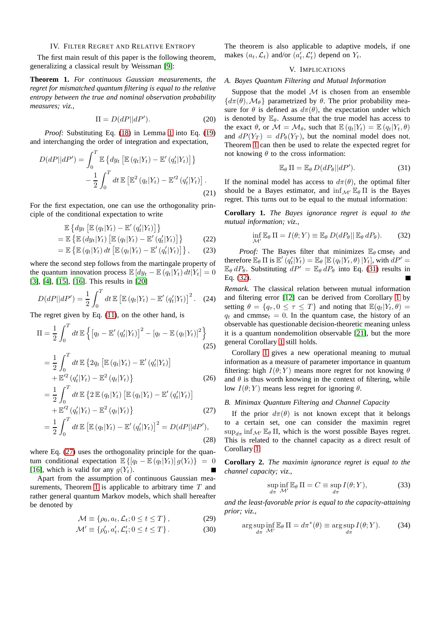### IV. FILTER REGRET AND RELATIVE ENTROPY

<span id="page-2-1"></span>The first main result of this paper is the following theorem, generalizing a classical result by Weissman [\[9\]](#page-4-8):

**Theorem 1.** *For continuous Gaussian measurements, the regret for mismatched quantum filtering is equal to the relative entropy between the true and nominal observation probability measures; viz.,*

$$
\Pi = D(dP||dP').
$$
\n(20)

*Proof:* Substituting Eq. [\(18\)](#page-1-3) in Lemma [1](#page-1-4) into Eq. [\(19\)](#page-1-5) and interchanging the order of integration and expectation,

$$
D(dP||dP') = \int_0^T \mathbb{E}\left\{dy_t \left[\mathbb{E}\left(q_t|Y_t\right) - \mathbb{E}'\left(q'_t|Y_t\right)\right]\right\}
$$

$$
-\frac{1}{2}\int_0^T dt \mathbb{E}\left[\mathbb{E}^2\left(q_t|Y_t\right) - \mathbb{E}'^2\left(q'_t|Y_t\right)\right].
$$
\n(21)

For the first expectation, one can use the orthogonality principle of the conditional expectation to write

$$
\mathbb{E}\left\{dy_t\left[\mathbb{E}\left(q_t|Y_t\right) - \mathbb{E}'\left(q'_t|Y_t\right)\right]\right\}
$$
\n
$$
= \mathbb{E}\left\{\mathbb{E}\left(dy_t|Y_t\right) \left[\mathbb{E}\left(q_t|Y_t\right) - \mathbb{E}'\left(q'_t|Y_t\right)\right]\right\} \tag{22}
$$

$$
= \mathbb{E} \left\{ \mathbb{E} \left( dy_t | Y_t \right) \left[ \mathbb{E} \left( q_t | Y_t \right) - \mathbb{E}' \left( q'_t | Y_t \right) \right] \right\} \tag{22}
$$

$$
= \mathbb{E} \left\{ \mathbb{E} \left( q_t | Y_t \right) dt \left[ \mathbb{E} \left( q_t | Y_t \right) - \mathbb{E}' \left( q'_t | Y_t \right) \right] \right\} \tag{23}
$$

$$
= \mathbb{E}\left\{ \mathbb{E}\left(q_t|Y_t\right)dt\left[\mathbb{E}\left(q_t|Y_t\right) - \mathbb{E}'\left(q'_t|Y_t\right)\right] \right\},\qquad(23)
$$

where the second step follows from the martingale property of the quantum innovation process  $\mathbb{E}[dy_t - \mathbb{E}(q_t|Y_t) dt | Y_t] = 0$ [\[3\]](#page-4-2), [\[4\]](#page-4-3), [\[15\]](#page-4-14), [\[16\]](#page-4-15). This results in [\[20\]](#page-4-19)

$$
D(dP||dP') = \frac{1}{2} \int_0^T dt \mathbb{E} \left[ \mathbb{E} (q_t|Y_t) - \mathbb{E}' (q'_t|Y_t) \right]^2.
$$
 (24)

The regret given by Eq. [\(11\)](#page-1-6), on the other hand, is

$$
\Pi = \frac{1}{2} \int_0^T dt \mathbb{E} \left\{ \left[ q_t - \mathbb{E}' \left( q_t' | Y_t \right) \right]^2 - \left[ q_t - \mathbb{E} \left( q_t | Y_t \right) \right]^2 \right\} \tag{25}
$$

$$
= \frac{1}{2} \int_0^T dt \mathbb{E} \left\{ 2q_t \left[ \mathbb{E} \left( q_t | Y_t \right) - \mathbb{E}' \left( q'_t | Y_t \right) \right] + \mathbb{E}'^2 \left( q'_t | Y_t \right) - \mathbb{E}^2 \left( q_t | Y_t \right) \right\}
$$
\n
$$
= 1 \cdot t^T
$$
\n(26)

$$
= \frac{1}{2} \int_0^T dt \mathbb{E} \left\{ 2 \mathbb{E} \left( q_t | Y_t \right) \left[ \mathbb{E} \left( q_t | Y_t \right) - \mathbb{E}' \left( q'_t | Y_t \right) \right] \right.+ \mathbb{E}'^2 \left( q'_t | Y_t \right) - \mathbb{E}^2 \left( q_t | Y_t \right) \right\} \tag{27}
$$

$$
= \frac{1}{2} \int_0^T dt \mathbb{E} \left[ \mathbb{E} \left( q_t | Y_t \right) - \mathbb{E}' \left( q'_t | Y_t \right) \right]^2 = D(dP||dP'),
$$

(28)

where Eq. [\(27\)](#page-2-0) uses the orthogonality principle for the quantum conditional expectation  $\mathbb{E}\left\{[q_t - \mathbb{E}(q_t|Y_t)] g(Y_t)\right\} = 0$ [\[16\]](#page-4-15), which is valid for any  $q(Y_t)$ .

Apart from the assumption of continuous Gaussian mea-surements, Theorem [1](#page-2-1) is applicable to arbitrary time  $T$  and rather general quantum Markov models, which shall hereafter be denoted by

$$
\mathcal{M} \equiv \{ \rho_0, a_t, \mathcal{L}_t; 0 \le t \le T \},\tag{29}
$$

$$
\mathcal{M}' \equiv \{ \rho'_0, a'_t, \mathcal{L}'_t; 0 \le t \le T \} \,. \tag{30}
$$

The theorem is also applicable to adaptive models, if one makes  $(a_t, \mathcal{L}_t)$  and/or  $(a'_t, \mathcal{L}'_t)$  depend on  $Y_t$ .

# V. IMPLICATIONS

## *A. Bayes Quantum Filtering and Mutual Information*

Suppose that the model  $M$  is chosen from an ensemble  ${d\pi(\theta), \mathcal{M}_{\theta}}$  parametrized by  $\theta$ . The prior probability measure for  $\theta$  is defined as  $d\pi(\theta)$ , the expectation under which is denoted by  $\mathbb{E}_{\theta}$ . Assume that the true model has access to the exact  $\theta$ , or  $\mathcal{M} = \mathcal{M}_{\theta}$ , such that  $\mathbb{E}(q_t|Y_t) = \mathbb{E}(q_t|Y_t, \theta)$ and  $dP(Y_T) = dP_\theta(Y_T)$ , but the nominal model does not. Theorem [1](#page-2-1) can then be used to relate the expected regret for not knowing  $\theta$  to the cross information:

<span id="page-2-3"></span><span id="page-2-2"></span>
$$
\mathbb{E}_{\theta} \Pi = \mathbb{E}_{\theta} D(dP_{\theta} || dP'). \tag{31}
$$

If the nominal model has access to  $d\pi(\theta)$ , the optimal filter should be a Bayes estimator, and  $\inf_{M'} \mathbb{E}_{\theta} \Pi$  is the Bayes regret. This turns out to be equal to the mutual information:

<span id="page-2-4"></span>**Corollary 1.** *The Bayes ignorance regret is equal to the mutual information; viz.,*

$$
\inf_{\mathcal{M}'} \mathbb{E}_{\theta} \Pi = I(\theta; Y) \equiv \mathbb{E}_{\theta} D(dP_{\theta} || \mathbb{E}_{\theta} dP_{\theta}). \tag{32}
$$

*Proof:* The Bayes filter that minimizes  $\mathbb{E}_{\theta}$  cmse<sub>t</sub> and therefore  $\mathbb{E}_{\theta}$   $\Pi$  is  $\mathbb{E}'$   $(q'_t|Y_t) = \mathbb{E}_{\theta}$   $[\mathbb{E}(q_t|Y_t, \theta) | Y_t]$ , with  $dP'$  =  $\mathbb{E}_{\theta} dP_{\theta}$ . Substituting  $dP' = \mathbb{E}_{\theta} dP_{\theta}$  into Eq. [\(31\)](#page-2-2) results in Eq. [\(32\)](#page-2-3).

*Remark.* The classical relation between mutual information and filtering error [\[12\]](#page-4-11) can be derived from Corollary [1](#page-2-4) by setting  $\theta = \{q_\tau, 0 \leq \tau \leq T\}$  and noting that  $\mathbb{E}(q_t|Y_t, \theta) =$  $q_t$  and cmmse<sub>t</sub> = 0. In the quantum case, the history of an observable has questionable decision-theoretic meaning unless it is a quantum nondemolition observable [\[21\]](#page-4-20), but the more general Corollary [1](#page-2-4) still holds.

Corollary [1](#page-2-4) gives a new operational meaning to mutual information as a measure of parameter importance in quantum filtering: high  $I(\theta; Y)$  means more regret for not knowing  $\theta$ and  $\theta$  is thus worth knowing in the context of filtering, while low  $I(\theta; Y)$  means less regret for ignoring  $\theta$ .

# *B. Minimax Quantum Filtering and Channel Capacity*

<span id="page-2-0"></span>If the prior  $d\pi(\theta)$  is not known except that it belongs to a certain set, one can consider the maximin regret  $\sup_{d\pi}$  inf  $\mathcal{M}'$   $\mathbb{E}_{\theta}$   $\Pi$ , which is the worst possible Bayes regret. This is related to the channel capacity as a direct result of Corollary [1:](#page-2-4)

<span id="page-2-5"></span>**Corollary 2.** *The maximin ignorance regret is equal to the channel capacity; viz.,*

$$
\sup_{d\pi} \inf_{\mathcal{M}'} \mathbb{E}_{\theta} \Pi = C \equiv \sup_{d\pi} I(\theta; Y), \tag{33}
$$

*and the least-favorable prior is equal to the capacity-attaining prior; viz.,*

$$
\arg\sup_{d\pi} \inf_{\mathcal{M}'} \mathbb{E}_{\theta} \Pi = d\pi^*(\theta) \equiv \arg\sup_{d\pi} I(\theta;Y). \tag{34}
$$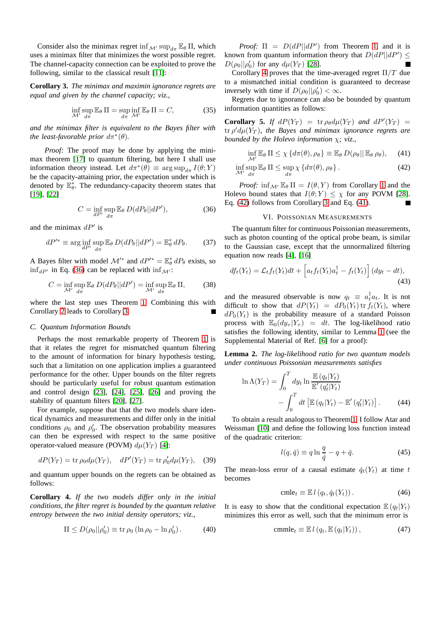Consider also the minimax regret inf  $\mathcal{M}'$  sup $_{d\pi}$   $\mathbb{E}_{\theta}$   $\Pi$ , which uses a minimax filter that minimizes the worst possible regret. The channel-capacity connection can be exploited to prove the following, similar to the classical result [\[11\]](#page-4-10):

<span id="page-3-1"></span>**Corollary 3.** *The minimax and maximin ignorance regrets are equal and given by the channel capacity; viz.,*

$$
\inf_{\mathcal{M}'} \sup_{d\pi} \mathbb{E}_{\theta} \Pi = \sup_{d\pi} \inf_{\mathcal{M}'} \mathbb{E}_{\theta} \Pi = C,\tag{35}
$$

*and the minimax filter is equivalent to the Bayes filter with the least-favorable prior*  $d\pi^*(\theta)$ *.* 

*Proof:* The proof may be done by applying the minimax theorem [\[17\]](#page-4-16) to quantum filtering, but here I shall use information theory instead. Let  $d\pi^*(\theta) \equiv \arg \sup_{d\pi} I(\theta;Y)$ be the capacity-attaining prior, the expectation under which is denoted by  $\mathbb{E}_{\theta}^*$ . The redundancy-capacity theorem states that [\[19\]](#page-4-18), [\[22\]](#page-4-21)

$$
C = \inf_{dP'} \sup_{d\pi} \mathbb{E}_{\theta} D(dP_{\theta} || dP'), \tag{36}
$$

and the minimax  $dP'$  is

$$
dP'^* \equiv \arg\inf_{dP'} \sup_{d\pi} \mathbb{E}_{\theta} D(dP_{\theta} || dP') = \mathbb{E}_{\theta}^* dP_{\theta}.
$$
 (37)

A Bayes filter with model  $\mathcal{M}'^*$  and  $dP'^* = \mathbb{E}_{\theta}^* dP_{\theta}$  exists, so  $\inf_{dP'}$  in Eq. [\(36\)](#page-3-0) can be replaced with  $\inf_{\mathcal{M}'}$ :

$$
C = \inf_{\mathcal{M}'} \sup_{d\pi} \mathbb{E}_{\theta} D(dP_{\theta} || dP') = \inf_{\mathcal{M}'} \sup_{d\pi} \mathbb{E}_{\theta} \Pi,
$$
 (38)

where the last step uses Theorem [1.](#page-2-1) Combining this with Corollary [2](#page-2-5) leads to Corollary [3.](#page-3-1)

## *C. Quantum Information Bounds*

Perhaps the most remarkable property of Theorem [1](#page-2-1) is that it relates the regret for mismatched quantum filtering to the amount of information for binary hypothesis testing, such that a limitation on one application implies a guaranteed performance for the other. Upper bounds on the filter regrets should be particularly useful for robust quantum estimation and control design [\[23\]](#page-4-22), [\[24\]](#page-4-23), [\[25\]](#page-4-24), [\[26\]](#page-4-25) and proving the stability of quantum filters [\[20\]](#page-4-19), [\[27\]](#page-4-26).

For example, suppose that that the two models share identical dynamics and measurements and differ only in the initial conditions  $\rho_0$  and  $\rho'_0$ . The observation probability measures can then be expressed with respect to the same positive operator-valued measure (POVM)  $d\mu(Y_T)$  [\[4\]](#page-4-3):

$$
dP(Y_T) = \text{tr}\,\rho_0 d\mu(Y_T), \quad dP'(Y_T) = \text{tr}\,\rho'_0 d\mu(Y_T), \quad (39)
$$

<span id="page-3-2"></span>and quantum upper bounds on the regrets can be obtained as follows:

**Corollary 4.** *If the two models differ only in the initial conditions, the filter regret is bounded by the quantum relative entropy between the two initial density operators; viz.,*

$$
\Pi \le D(\rho_0 || \rho'_0) \equiv \text{tr}\,\rho_0 \left( \ln \rho_0 - \ln \rho'_0 \right). \tag{40}
$$

*Proof:*  $\Pi = D(dP||dP')$  from Theorem [1,](#page-2-1) and it is known from quantum information theory that  $D(dP||dP') \leq$  $D(\rho_0||\rho'_0)$  for any  $d\mu(Y_T)$  [\[28\]](#page-4-27).

Corollary [4](#page-3-2) proves that the time-averaged regret  $\Pi/T$  due to a mismatched initial condition is guaranteed to decrease inversely with time if  $D(\rho_0||\rho'_0) < \infty$ .

<span id="page-3-7"></span>Regrets due to ignorance can also be bounded by quantum information quantities as follows:

**Corollary 5.** *If*  $dP(Y_T) = \text{tr } \rho_\theta d\mu(Y_T)$  *and*  $dP'(Y_T) =$  $\text{tr } \rho' d\mu(Y_T)$ , the Bayes and minimax ignorance regrets are *bounded by the Holevo information* χ*; viz.,*

$$
\inf_{\mathcal{M}'} \mathbb{E}_{\theta} \, \Pi \leq \chi \, \{ d\pi(\theta), \rho_{\theta} \} \equiv \mathbb{E}_{\theta} \, D(\rho_{\theta} || \, \mathbb{E}_{\theta} \, \rho_{\theta}), \quad (41)
$$

$$
\inf_{\mathcal{M}'} \sup_{d\pi} \mathbb{E}_{\theta} \Pi \le \sup_{d\pi} \chi \{ d\pi(\theta), \rho_{\theta} \}.
$$
 (42)

<span id="page-3-0"></span>*Proof:*  $\inf_{\mathcal{M}'} \mathbb{E}_{\theta} \Pi = I(\theta, Y)$  from Corollary [1](#page-2-4) and the Holevo bound states that  $I(\theta; Y) \leq \chi$  for any POVM [\[28\]](#page-4-27). Eq. [\(42\)](#page-3-3) follows from Corollary [3](#page-3-1) and Eq. [\(41\)](#page-3-4).

#### <span id="page-3-4"></span><span id="page-3-3"></span>VI. POISSONIAN MEASUREMENTS

The quantum filter for continuous Poissonian measurements, such as photon counting of the optical probe beam, is similar to the Gaussian case, except that the unnormalized filtering equation now reads [\[4\]](#page-4-3), [\[16\]](#page-4-15)

$$
df_t(Y_t) = \mathcal{L}_t f_t(Y_t) dt + \left[ a_t f_t(Y_t) a_t^{\dagger} - f_t(Y_t) \right] (dy_t - dt),
$$
\n(43)

and the measured observable is now  $q_t \equiv a_t^{\dagger} a_t$ . It is not difficult to show that  $dP(Y_t) = dP_0(Y_t)$  tr  $f_t(Y_t)$ , where  $dP_0(Y_t)$  is the probability measure of a standard Poisson process with  $\mathbb{E}_0(dy_\tau | Y_\tau) = dt$ . The log-likelihood ratio satisfies the following identity, similar to Lemma [1](#page-1-4) (see the Supplemental Material of Ref. [\[6\]](#page-4-5) for a proof):

<span id="page-3-6"></span>**Lemma 2.** *The log-likelihood ratio for two quantum models under continuous Poissonian measurements satisfies*

$$
\ln \Lambda(Y_T) = \int_0^T dy_t \ln \frac{\mathbb{E}(q_t|Y_t)}{\mathbb{E}'(q_t'|Y_t)} - \int_0^T dt \left[ \mathbb{E}(q_t|Y_t) - \mathbb{E}'(q_t'|Y_t) \right].
$$
 (44)

To obtain a result analogous to Theorem [1,](#page-2-1) I follow Atar and Weissman [\[10\]](#page-4-9) and define the following loss function instead of the quadratic criterion:

<span id="page-3-5"></span>
$$
l(q, \check{q}) \equiv q \ln \frac{q}{\check{q}} - q + \check{q}.
$$
 (45)

The mean-loss error of a causal estimate  $\check{q}_t(Y_t)$  at time t becomes

$$
\text{cmle}_t \equiv \mathbb{E} l\left(q_t, \check{q}_t(Y_t)\right). \tag{46}
$$

It is easy to show that the conditional expectation  $\mathbb{E}(q_t|Y_t)$ minimizes this error as well, such that the minimum error is

$$
\text{cmmle}_{t} \equiv \mathbb{E} l \left( q_{t}, \mathbb{E} \left( q_{t} | Y_{t} \right) \right), \tag{47}
$$